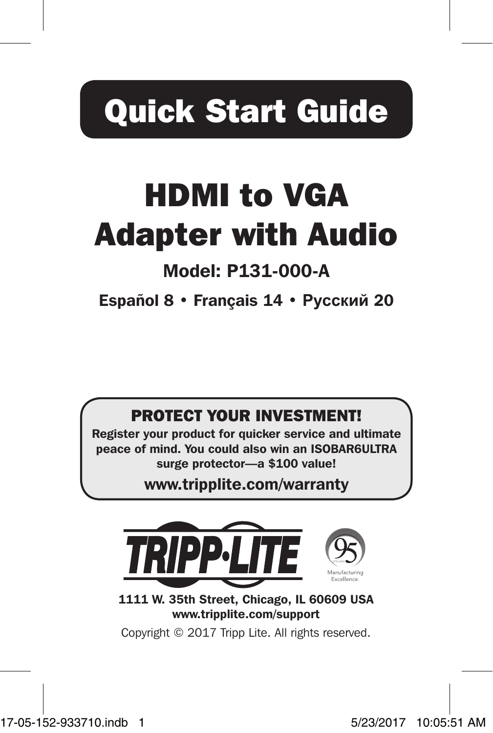# Quick Start Guide

# HDMI to VGA Adapter with Audio

## Model: P131-000-A

Español 8 • Français 14 • **Русский** 20

### PROTECT YOUR INVESTMENT!

Register your product for quicker service and ultimate peace of mind. You could also win an ISOBAR6ULTRA surge protector—a \$100 value!

www.tripplite.com/warranty



1111 W. 35th Street, Chicago, IL 60609 USA www.tripplite.com/support

Copyright © 2017 Tripp Lite. All rights reserved.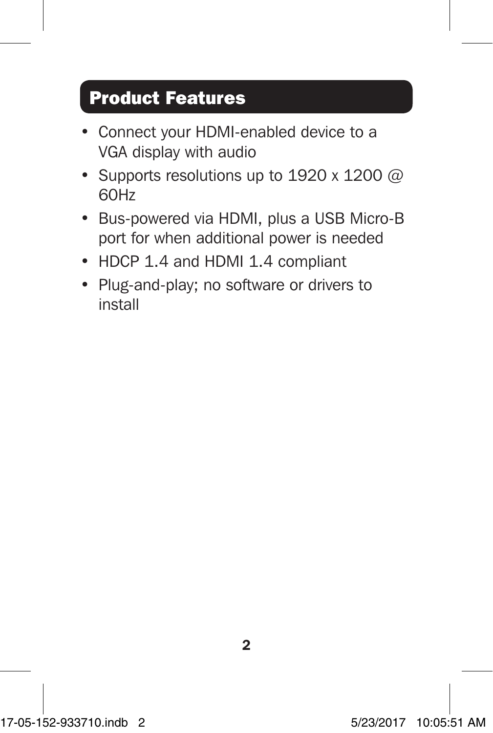## Product Features

- Connect your HDMI-enabled device to a VGA display with audio
- Supports resolutions up to 1920 x 1200  $@$ 60Hz
- Bus-powered via HDMI, plus a USB Micro-B port for when additional power is needed
- HDCP 1.4 and HDMI 1.4 compliant
- Plug-and-play; no software or drivers to install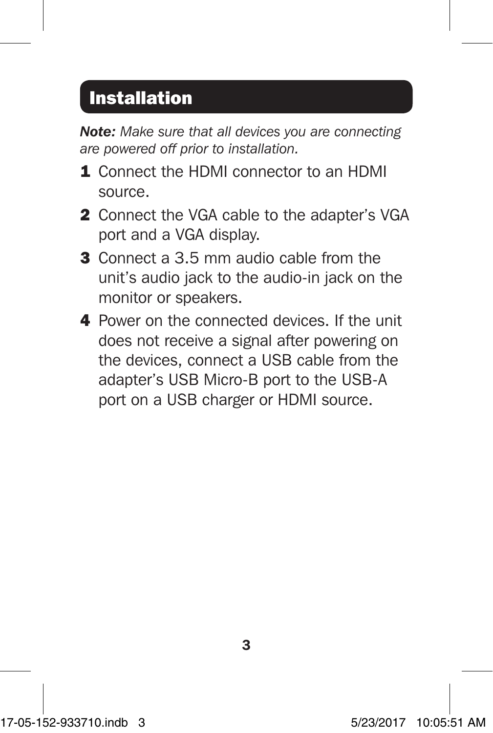## Installation

*Note: Make sure that all devices you are connecting are powered off prior to installation.*

- 1. Connect the HDMI connector to an HDMI source.
- 2 Connect the VGA cable to the adapter's VGA port and a VGA display.
- 3 Connect a 3.5 mm audio cable from the unit's audio jack to the audio-in jack on the monitor or speakers.
- 4 Power on the connected devices. If the unit does not receive a signal after powering on the devices, connect a USB cable from the adapter's USB Micro-B port to the USB-A port on a USB charger or HDMI source.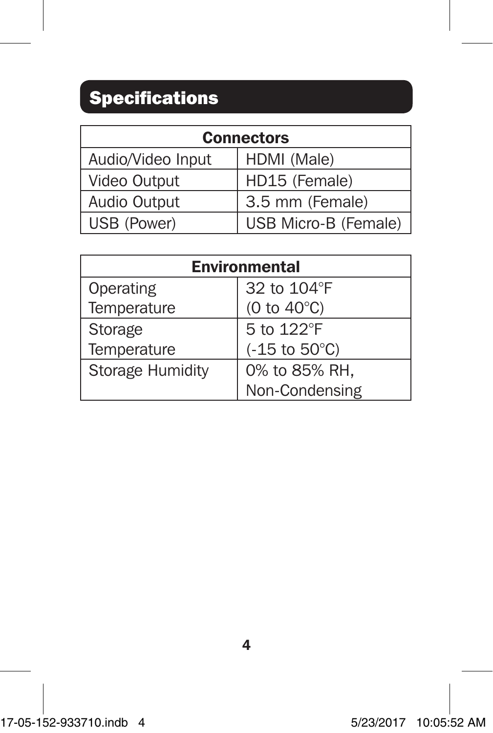## Specifications

| <b>Connectors</b> |                      |
|-------------------|----------------------|
| Audio/Video Input | HDMI (Male)          |
| Video Output      | HD15 (Female)        |
| Audio Output      | 3.5 mm (Female)      |
| USB (Power)       | USB Micro-B (Female) |

| <b>Environmental</b> |                           |
|----------------------|---------------------------|
| Operating            | 32 to 104°F               |
| Temperature          | (0 to $40^{\circ}$ C)     |
| Storage              | 5 to 122°F                |
| Temperature          | $(-15$ to $50^{\circ}$ C) |
| Storage Humidity     | 0% to 85% RH,             |
|                      | Non-Condensing            |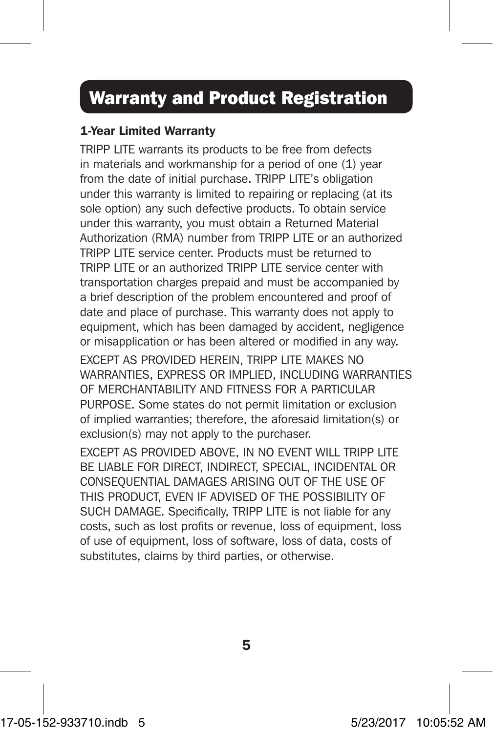## Warranty and Product Registration

### 1-Year Limited Warranty

TRIPP LITE warrants its products to be free from defects in materials and workmanship for a period of one (1) year from the date of initial purchase. TRIPP LITE's obligation under this warranty is limited to repairing or replacing (at its sole option) any such defective products. To obtain service under this warranty, you must obtain a Returned Material Authorization (RMA) number from TRIPP LITE or an authorized TRIPP LITE service center. Products must be returned to TRIPP LITE or an authorized TRIPP LITE service center with transportation charges prepaid and must be accompanied by a brief description of the problem encountered and proof of date and place of purchase. This warranty does not apply to equipment, which has been damaged by accident, negligence or misapplication or has been altered or modified in any way.

EXCEPT AS PROVIDED HEREIN, TRIPP LITE MAKES NO WARRANTIES, EXPRESS OR IMPLIED, INCLUDING WARRANTIES OF MERCHANTABILITY AND FITNESS FOR A PARTICULAR PURPOSE. Some states do not permit limitation or exclusion of implied warranties; therefore, the aforesaid limitation(s) or exclusion(s) may not apply to the purchaser.

EXCEPT AS PROVIDED ABOVE, IN NO EVENT WILL TRIPP LITE BE LIABLE FOR DIRECT, INDIRECT, SPECIAL, INCIDENTAL OR CONSEQUENTIAL DAMAGES ARISING OUT OF THE USE OF THIS PRODUCT, EVEN IF ADVISED OF THE POSSIBILITY OF SUCH DAMAGE. Specifically, TRIPP LITE is not liable for any costs, such as lost profits or revenue, loss of equipment, loss of use of equipment, loss of software, loss of data, costs of substitutes, claims by third parties, or otherwise.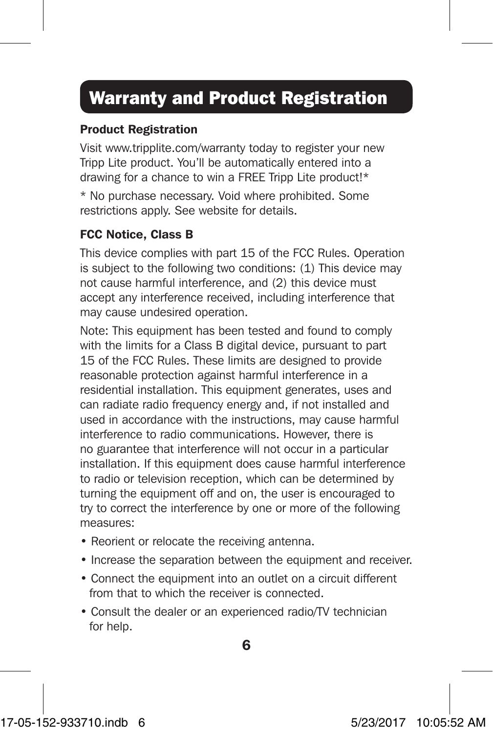## Warranty and Product Registration

#### Product Registration

Visit www.tripplite.com/warranty today to register your new Tripp Lite product. You'll be automatically entered into a drawing for a chance to win a FREE Tripp Lite product!\*

\* No purchase necessary. Void where prohibited. Some restrictions apply. See website for details.

### FCC Notice, Class B

This device complies with part 15 of the FCC Rules. Operation is subject to the following two conditions: (1) This device may not cause harmful interference, and (2) this device must accept any interference received, including interference that may cause undesired operation.

Note: This equipment has been tested and found to comply with the limits for a Class B digital device, pursuant to part 15 of the FCC Rules. These limits are designed to provide reasonable protection against harmful interference in a residential installation. This equipment generates, uses and can radiate radio frequency energy and, if not installed and used in accordance with the instructions, may cause harmful interference to radio communications. However, there is no guarantee that interference will not occur in a particular installation. If this equipment does cause harmful interference to radio or television reception, which can be determined by turning the equipment off and on, the user is encouraged to try to correct the interference by one or more of the following measures:

- Reorient or relocate the receiving antenna.
- Increase the separation between the equipment and receiver.
- Connect the equipment into an outlet on a circuit different from that to which the receiver is connected.
- Consult the dealer or an experienced radio/TV technician for help.

6

17-05-152-933710.indb 6 5/23/2017 10:05:52 AM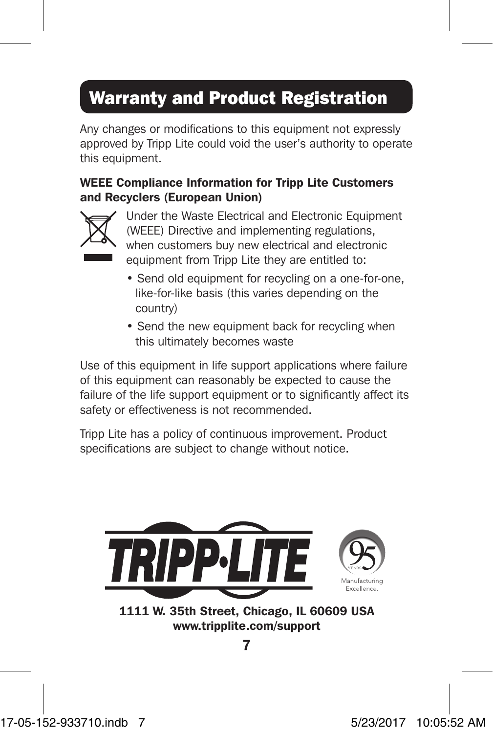## Warranty and Product Registration

Any changes or modifications to this equipment not expressly approved by Tripp Lite could void the user's authority to operate this equipment.

### WEEE Compliance Information for Tripp Lite Customers and Recyclers (European Union)



Under the Waste Electrical and Electronic Equipment (WEEE) Directive and implementing regulations, when customers buy new electrical and electronic equipment from Tripp Lite they are entitled to:

- Send old equipment for recycling on a one-for-one, like-for-like basis (this varies depending on the country)
- Send the new equipment back for recycling when this ultimately becomes waste

Use of this equipment in life support applications where failure of this equipment can reasonably be expected to cause the failure of the life support equipment or to significantly affect its safety or effectiveness is not recommended.

Tripp Lite has a policy of continuous improvement. Product specifications are subject to change without notice.

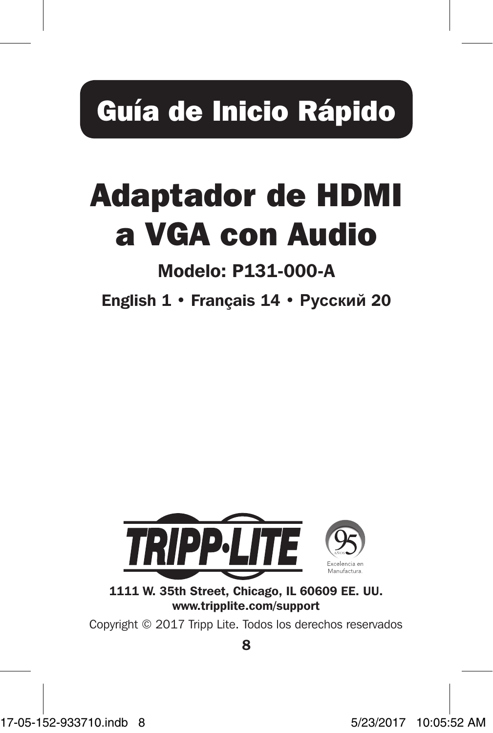# Guía de Inicio Rápido

# Adaptador de HDMI a VGA con Audio

## Modelo: P131-000-A

English 1 • Français 14 • **Русский** 20



1111 W. 35th Street, Chicago, IL 60609 EE. UU. www.tripplite.com/support

Copyright © 2017 Tripp Lite. Todos los derechos reservados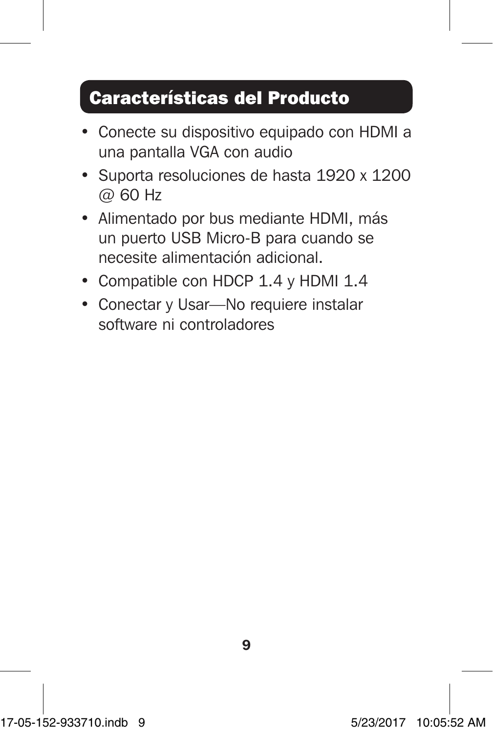## Características del Producto

- Conecte su dispositivo equipado con HDMI a una pantalla VGA con audio
- Suporta resoluciones de hasta 1920 x 1200 @ 60 Hz
- Alimentado por bus mediante HDMI, más un puerto USB Micro-B para cuando se necesite alimentación adicional.
- Compatible con HDCP 1.4 y HDMI 1.4
- Conectar y Usar—No requiere instalar software ni controladores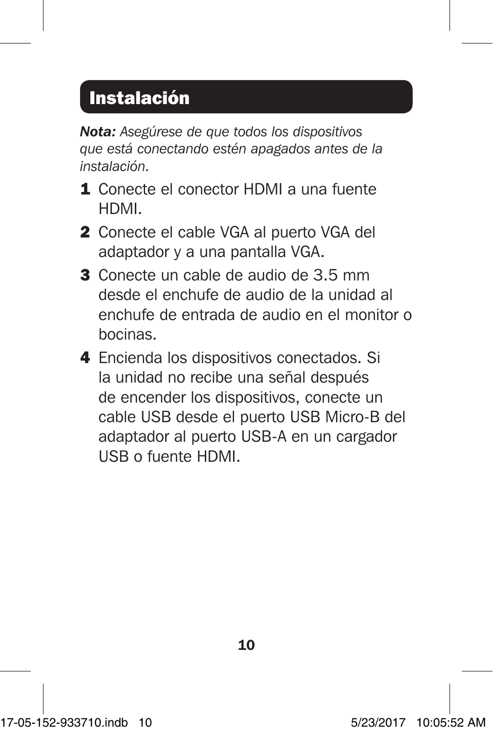## Instalación

*Nota: Asegúrese de que todos los dispositivos que está conectando estén apagados antes de la instalación.*

- 1 Conecte el conector HDMI a una fuente HDMI.
- 2 Conecte el cable VGA al puerto VGA del adaptador y a una pantalla VGA.
- 3 Conecte un cable de audio de 3.5 mm desde el enchufe de audio de la unidad al enchufe de entrada de audio en el monitor o bocinas.
- 4 Encienda los dispositivos conectados. Si la unidad no recibe una señal después de encender los dispositivos, conecte un cable USB desde el puerto USB Micro-B del adaptador al puerto USB-A en un cargador USB o fuente HDMI.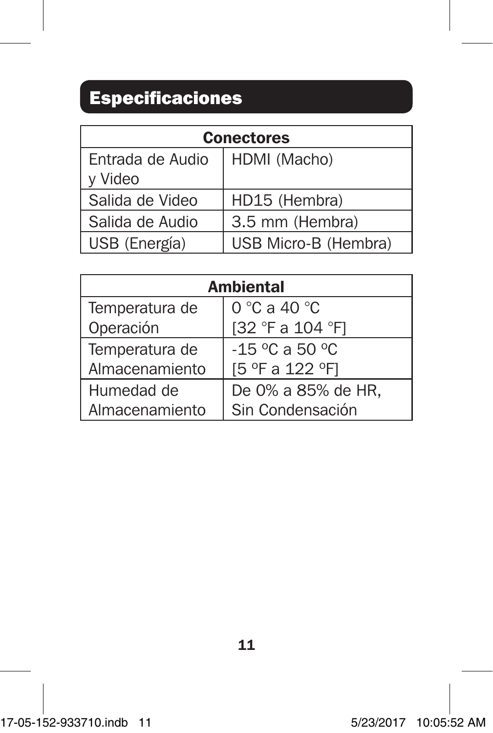## Especificaciones

| <b>Conectores</b> |                      |
|-------------------|----------------------|
| Entrada de Audio  | HDMI (Macho)         |
| y Video           |                      |
| Salida de Video   | HD15 (Hembra)        |
| Salida de Audio   | 3.5 mm (Hembra)      |
| USB (Energía)     | USB Micro-B (Hembra) |

| Ambiental      |                    |
|----------------|--------------------|
| Temperatura de | 0 °C a 40 °C       |
| Operación      | [32 °F a 104 °F]   |
| Temperatura de | $-15$ °C a 50 °C   |
| Almacenamiento | [5 °F a 122 °F]    |
| Humedad de     | De 0% a 85% de HR, |
| Almacenamiento | Sin Condensación   |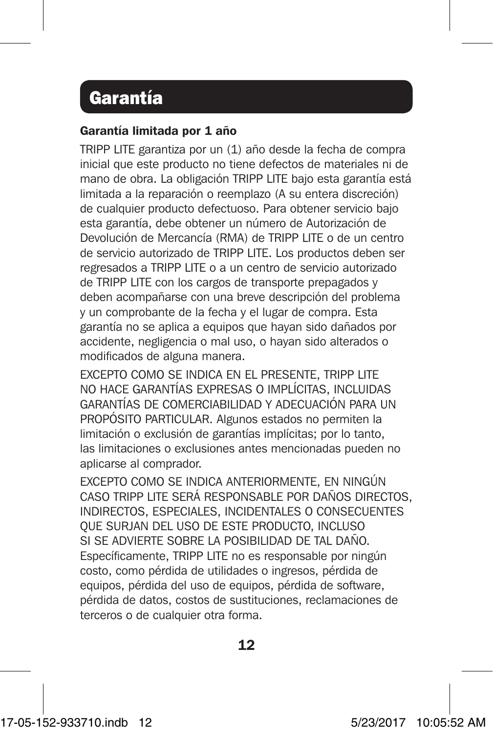### Garantía

#### Garantía limitada por 1 año

TRIPP LITE garantiza por un (1) año desde la fecha de compra inicial que este producto no tiene defectos de materiales ni de mano de obra. La obligación TRIPP LITE bajo esta garantía está limitada a la reparación o reemplazo (A su entera discreción) de cualquier producto defectuoso. Para obtener servicio bajo esta garantía, debe obtener un número de Autorización de Devolución de Mercancía (RMA) de TRIPP LITE o de un centro de servicio autorizado de TRIPP LITE. Los productos deben ser regresados a TRIPP LITE o a un centro de servicio autorizado de TRIPP LITE con los cargos de transporte prepagados y deben acompañarse con una breve descripción del problema y un comprobante de la fecha y el lugar de compra. Esta garantía no se aplica a equipos que hayan sido dañados por accidente, negligencia o mal uso, o hayan sido alterados o modificados de alguna manera.

EXCEPTO COMO SE INDICA EN EL PRESENTE, TRIPP LITE NO HACE GARANTÍAS EXPRESAS O IMPLÍCITAS, INCLUIDAS GARANTÍAS DE COMERCIABILIDAD Y ADECUACIÓN PARA UN PROPÓSITO PARTICULAR. Algunos estados no permiten la limitación o exclusión de garantías implícitas; por lo tanto, las limitaciones o exclusiones antes mencionadas pueden no aplicarse al comprador.

EXCEPTO COMO SE INDICA ANTERIORMENTE, EN NINGÚN CASO TRIPP LITE SERÁ RESPONSABLE POR DAÑOS DIRECTOS, INDIRECTOS, ESPECIALES, INCIDENTALES O CONSECUENTES QUE SURJAN DEL USO DE ESTE PRODUCTO, INCLUSO SI SE ADVIERTE SOBRE LA POSIBILIDAD DE TAL DAÑO. Específicamente, TRIPP LITE no es responsable por ningún costo, como pérdida de utilidades o ingresos, pérdida de equipos, pérdida del uso de equipos, pérdida de software, pérdida de datos, costos de sustituciones, reclamaciones de terceros o de cualquier otra forma.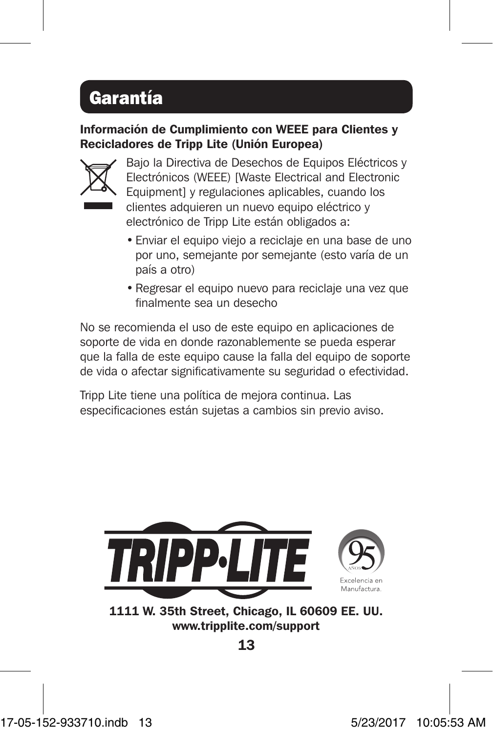## Garantía

### Información de Cumplimiento con WEEE para Clientes y Recicladores de Tripp Lite (Unión Europea)



Bajo la Directiva de Desechos de Equipos Eléctricos y Electrónicos (WEEE) [Waste Electrical and Electronic Equipment] y regulaciones aplicables, cuando los clientes adquieren un nuevo equipo eléctrico y electrónico de Tripp Lite están obligados a:

- Enviar el equipo viejo a reciclaje en una base de uno por uno, semejante por semejante (esto varía de un país a otro)
- Regresar el equipo nuevo para reciclaje una vez que finalmente sea un desecho

No se recomienda el uso de este equipo en aplicaciones de soporte de vida en donde razonablemente se pueda esperar que la falla de este equipo cause la falla del equipo de soporte de vida o afectar significativamente su seguridad o efectividad.

Tripp Lite tiene una política de mejora continua. Las especificaciones están sujetas a cambios sin previo aviso.



1111 W. 35th Street, Chicago, IL 60609 EE. UU. www.tripplite.com/support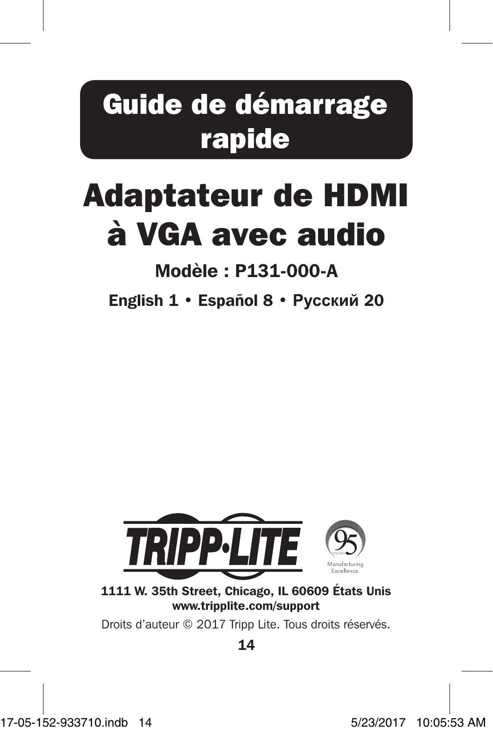## Guide de démarrage rapide

# Adaptateur de HDMI à VGA avec audio

## Modèle : P131-000-A

English 1 • Español 8 • **Русский** 20



1111 W. 35th Street, Chicago, IL 60609 États Unis www.tripplite.com/support

Droits d'auteur © 2017 Tripp Lite. Tous droits réservés.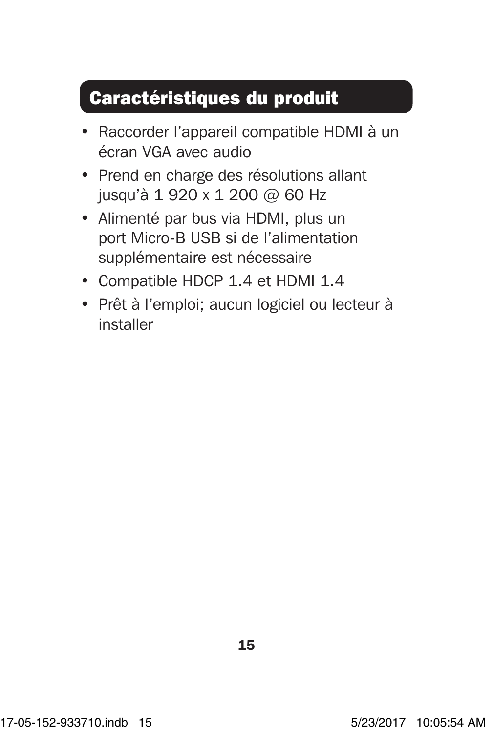## Caractéristiques du produit

- Raccorder l'appareil compatible HDMI à un écran VGA avec audio
- Prend en charge des résolutions allant jusqu'à 1 920 x 1 200 @ 60 Hz
- Alimenté par bus via HDMI, plus un port Micro-B USB si de l'alimentation supplémentaire est nécessaire
- Compatible HDCP 1.4 et HDMI 1.4
- Prêt à l'emploi; aucun logiciel ou lecteur à installer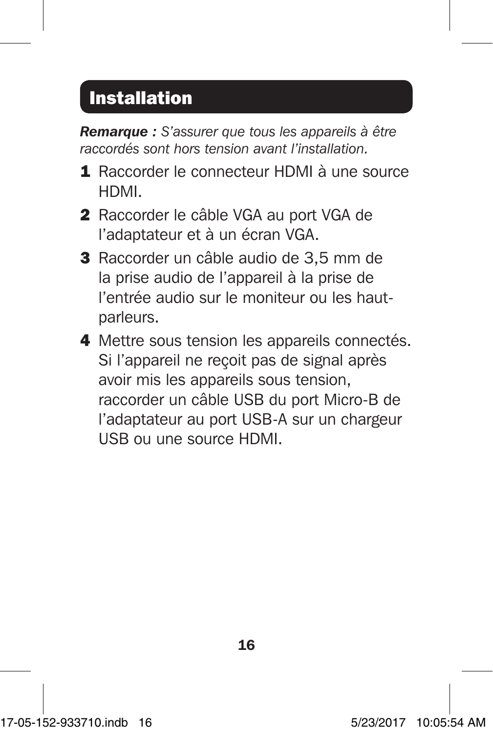## Installation

*Remarque : S'assurer que tous les appareils à être raccordés sont hors tension avant l'installation.*

- 1 Raccorder le connecteur HDMI à une source HDMI.
- 2 Raccorder le câble VGA au port VGA de l'adaptateur et à un écran VGA.
- 3 Raccorder un câble audio de 3,5 mm de la prise audio de l'appareil à la prise de l'entrée audio sur le moniteur ou les hautparleurs.
- 4 Mettre sous tension les appareils connectés. Si l'appareil ne reçoit pas de signal après avoir mis les appareils sous tension, raccorder un câble USB du port Micro-B de l'adaptateur au port USB-A sur un chargeur USB ou une source HDMI.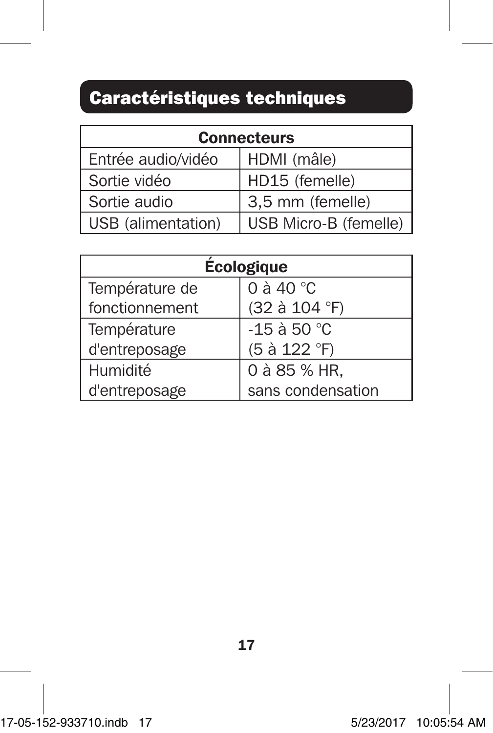## Caractéristiques techniques

| <b>Connecteurs</b> |                       |
|--------------------|-----------------------|
| Entrée audio/vidéo | HDMI (mâle)           |
| Sortie vidéo       | HD15 (femelle)        |
| Sortie audio       | 3,5 mm (femelle)      |
| USB (alimentation) | USB Micro-B (femelle) |

| <b>Écologique</b> |                     |
|-------------------|---------------------|
| Température de    | 0 à 40 $^{\circ}$ C |
| fonctionnement    | (32 à 104 °F)       |
| Température       | -15 à 50 °C         |
| d'entreposage     | (5 à 122 °F)        |
| Humidité          | 0 à 85 % HR,        |
| d'entreposage     | sans condensation   |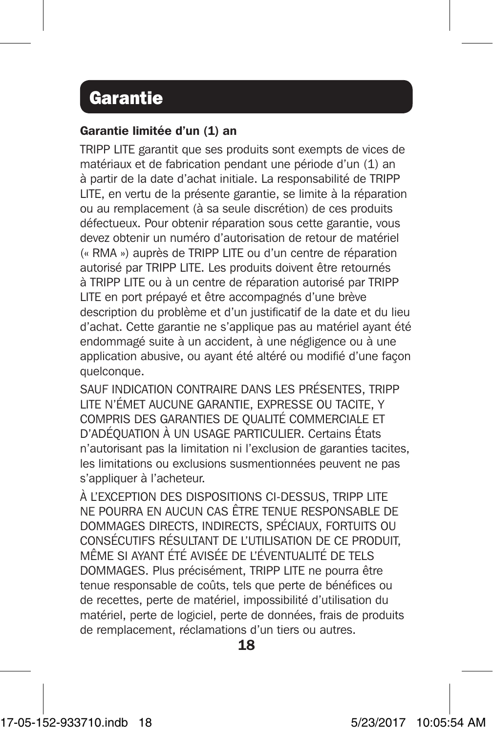### Garantie

#### Garantie limitée d'un (1) an

TRIPP LITE garantit que ses produits sont exempts de vices de matériaux et de fabrication pendant une période d'un (1) an à partir de la date d'achat initiale. La responsabilité de TRIPP LITE, en vertu de la présente garantie, se limite à la réparation ou au remplacement (à sa seule discrétion) de ces produits défectueux. Pour obtenir réparation sous cette garantie, vous devez obtenir un numéro d'autorisation de retour de matériel (« RMA ») auprès de TRIPP LITE ou d'un centre de réparation autorisé par TRIPP LITE. Les produits doivent être retournés à TRIPP LITE ou à un centre de réparation autorisé par TRIPP LITE en port prépayé et être accompagnés d'une brève description du problème et d'un justificatif de la date et du lieu d'achat. Cette garantie ne s'applique pas au matériel ayant été endommagé suite à un accident, à une négligence ou à une application abusive, ou ayant été altéré ou modifié d'une façon quelconque.

SAUF INDICATION CONTRAIRE DANS LES PRÉSENTES, TRIPP LITE N'ÉMET AUCUNE GARANTIE, EXPRESSE OU TACITE, Y COMPRIS DES GARANTIES DE QUALITÉ COMMERCIALE ET D'ADÉQUATION À UN USAGE PARTICULIER. Certains États n'autorisant pas la limitation ni l'exclusion de garanties tacites, les limitations ou exclusions susmentionnées peuvent ne pas s'appliquer à l'acheteur.

À L'EXCEPTION DES DISPOSITIONS CI-DESSUS, TRIPP LITE NE POURRA EN AUCUN CAS ÊTRE TENUE RESPONSABLE DE DOMMAGES DIRECTS, INDIRECTS, SPÉCIAUX, FORTUITS OU CONSÉCUTIFS RÉSULTANT DE L'UTILISATION DE CE PRODUIT, MÊME SI AYANT ÉTÉ AVISÉE DE L'ÉVENTUALITÉ DE TELS DOMMAGES. Plus précisément, TRIPP LITE ne pourra être tenue responsable de coûts, tels que perte de bénéfices ou de recettes, perte de matériel, impossibilité d'utilisation du matériel, perte de logiciel, perte de données, frais de produits de remplacement, réclamations d'un tiers ou autres.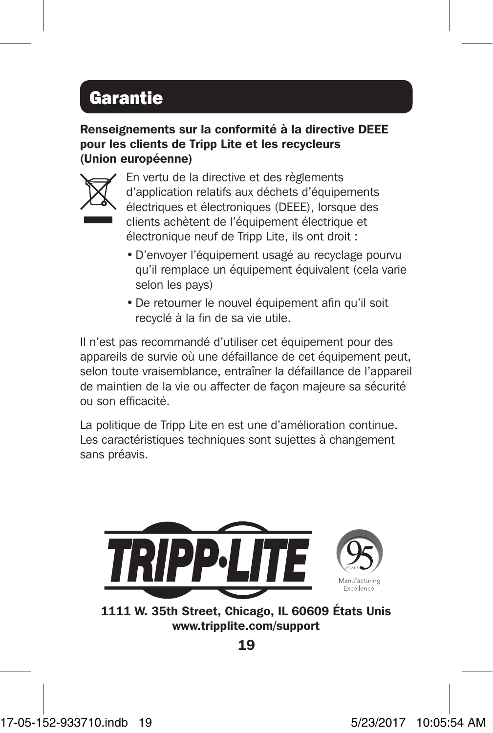## Garantie

Renseignements sur la conformité à la directive DEEE pour les clients de Tripp Lite et les recycleurs (Union européenne)



En vertu de la directive et des règlements d'application relatifs aux déchets d'équipements électriques et électroniques (DEEE), lorsque des clients achètent de l'équipement électrique et électronique neuf de Tripp Lite, ils ont droit :

- •D'envoyer l'équipement usagé au recyclage pourvu qu'il remplace un équipement équivalent (cela varie selon les pays)
- •De retourner le nouvel équipement afin qu'il soit recyclé à la fin de sa vie utile.

Il n'est pas recommandé d'utiliser cet équipement pour des appareils de survie où une défaillance de cet équipement peut, selon toute vraisemblance, entraîner la défaillance de l'appareil de maintien de la vie ou affecter de façon majeure sa sécurité ou son efficacité.

La politique de Tripp Lite en est une d'amélioration continue. Les caractéristiques techniques sont sujettes à changement sans préavis.



1111 W. 35th Street, Chicago, IL 60609 États Unis www.tripplite.com/support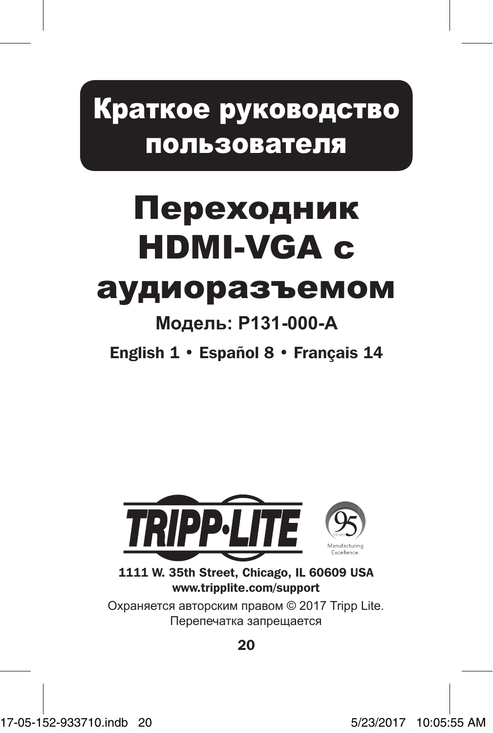## Краткое руководство пользователя

# Переходник HDMI-VGA с

## аудиоразъемом

## **Модель: P131-000-A**

English 1 • Español 8 • Français 14



1111 W. 35th Street, Chicago, IL 60609 USA www.tripplite.com/support

Охраняется авторским правом © 2017 Tripp Lite. Перепечатка запрещается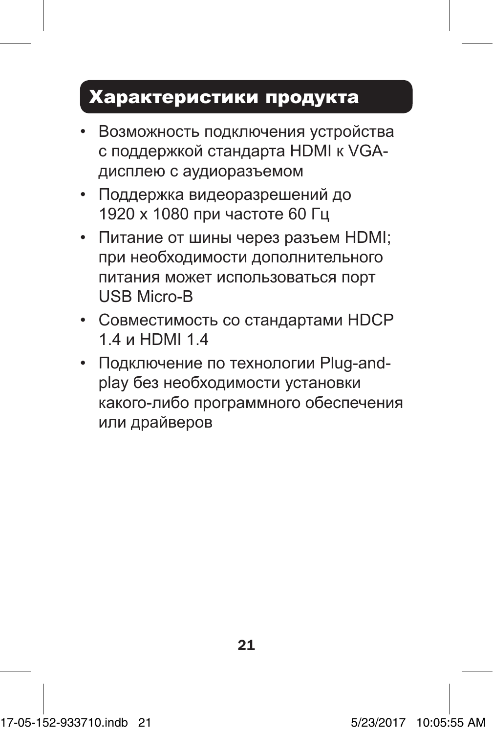## Характеристики продукта

- Возможность подключения устройства с поддержкой стандарта HDMI к VGAдисплею с аудиоразъемом
- Поддержка видеоразрешений до 1920 x 1080 при частоте 60 Гц
- Питание от шины через разъем HDMI; при необходимости дополнительного питания может использоваться порт USB Micro-B
- Совместимость со стандартами HDCP 1.4 и HDMI 1.4
- Подключение по технологии Plug-andplay без необходимости установки какого-либо программного обеспечения или драйверов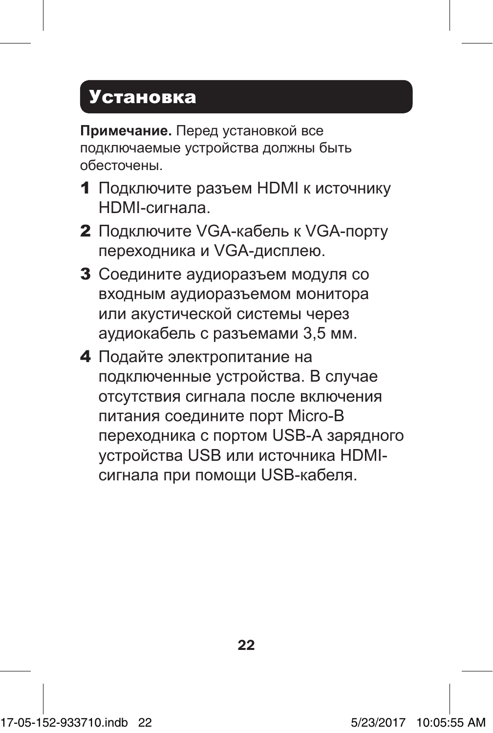## Установка

**Примечание.** Перед установкой все подключаемые устройства должны быть обесточены.

- 1 Подключите разъем HDMI к источнику HDMI-сигнала.
- 2 Подключите VGA-кабель к VGA-порту переходника и VGA-дисплею.
- 3 Соедините аудиоразъем модуля со входным аудиоразъемом монитора или акустической системы через аудиокабель с разъемами 3,5 мм.
- 4 Подайте электропитание на подключенные устройства. В случае отсутствия сигнала после включения питания соедините порт Micro-B переходника с портом USB-А зарядного устройства USB или источника HDMIсигнала при помощи USB-кабеля.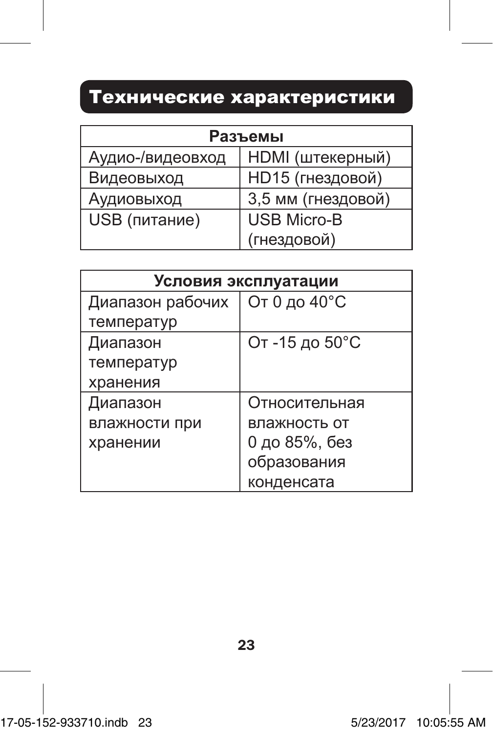## Технические характеристики

| Разъемы          |                         |
|------------------|-------------------------|
| Аудио-/видеовход | <b>НDMI</b> (штекерный) |
| Видеовыход       | НD15 (гнездовой)        |
| Аудиовыход       | 3,5 мм (гнездовой)      |
| USB (питание)    | <b>USB Micro-B</b>      |
|                  | (гнездовой)             |

| Условия эксплуатации |                |
|----------------------|----------------|
| Диапазон рабочих     | От 0 до 40°С   |
| температур           |                |
| Диапазон             | От -15 до 50°С |
| температур           |                |
| хранения             |                |
| Диапазон             | Относительная  |
| влажности при        | влажность от   |
| хранении             | 0 до 85%, без  |
|                      | образования    |
|                      | конденсата     |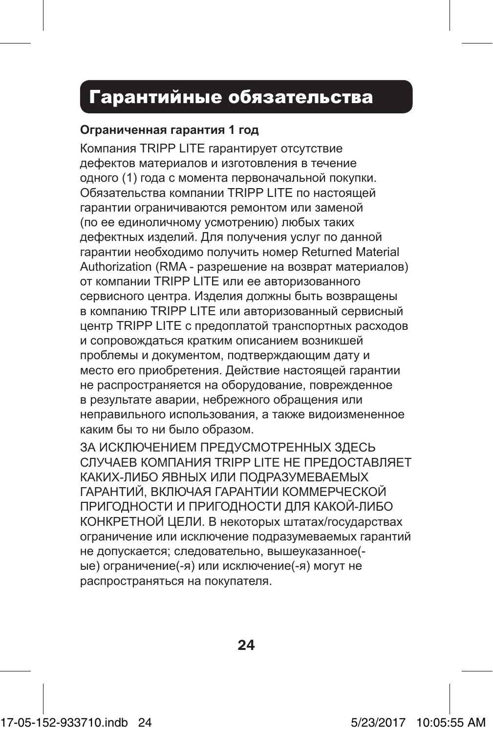### Гарантийные обязательства

#### **Ограниченная гарантия 1 год**

Компания TRIPP LITE гарантирует отсутствие дефектов материалов и изготовления в течение одного (1) года с момента первоначальной покупки. Обязательства компании TRIPP LITE по настоящей гарантии ограничиваются ремонтом или заменой (по ее единоличному усмотрению) любых таких дефектных изделий. Для получения услуг по данной гарантии необходимо получить номер Returned Material Authorization (RMA - разрешение на возврат материалов) от компании TRIPP LITE или ее авторизованного сервисного центра. Изделия должны быть возвращены в компанию TRIPP LITE или авторизованный сервисный центр TRIPP LITE с предоплатой транспортных расходов и сопровождаться кратким описанием возникшей проблемы и документом, подтверждающим дату и место его приобретения. Действие настоящей гарантии не распространяется на оборудование, поврежденное в результате аварии, небрежного обращения или неправильного использования, а также видоизмененное каким бы то ни было образом.

ЗА ИСКЛЮЧЕНИЕМ ПРЕДУСМОТРЕННЫХ ЗДЕСЬ СЛУЧАЕВ КОМПАНИЯ TRIPP LITE НЕ ПРЕДОСТАВЛЯЕТ КАКИХ-ЛИБО ЯВНЫХ ИЛИ ПОДРАЗУМЕВАЕМЫХ ГАРАНТИЙ, ВКЛЮЧАЯ ГАРАНТИИ КОММЕРЧЕСКОЙ ПРИГОДНОСТИ И ПРИГОДНОСТИ ДЛЯ КАКОЙ-ЛИБО КОНКРЕТНОЙ ЦЕЛИ. В некоторых штатах/государствах ограничение или исключение подразумеваемых гарантий не допускается; следовательно, вышеуказанное( ые) ограничение(-я) или исключение(-я) могут не распространяться на покупателя.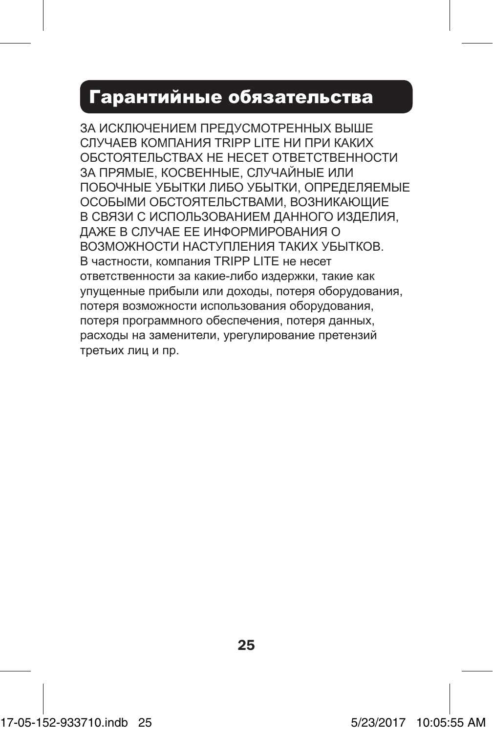### Гарантийные обязательства

ЗА ИСКЛЮЧЕНИЕМ ПРЕДУСМОТРЕННЫХ ВЫШЕ СЛУЧАЕВ КОМПАНИЯ TRIPP LITE НИ ПРИ КАКИХ ОБСТОЯТЕЛЬСТВАХ НЕ НЕСЕТ ОТВЕТСТВЕННОСТИ ЗА ПРЯМЫЕ, КОСВЕННЫЕ, СЛУЧАЙНЫЕ ИЛИ ПОБОЧНЫЕ УБЫТКИ ЛИБО УБЫТКИ, ОПРЕДЕЛЯЕМЫЕ ОСОБЫМИ ОБСТОЯТЕЛЬСТВАМИ, ВОЗНИКАЮЩИЕ В СВЯЗИ С ИСПОЛЬЗОВАНИЕМ ДАННОГО ИЗДЕЛИЯ, ДАЖЕ В СЛУЧАЕ ЕЕ ИНФОРМИРОВАНИЯ О ВОЗМОЖНОСТИ НАСТУПЛЕНИЯ ТАКИХ УБЫТКОВ. В частности, компания TRIPP LITE не несет ответственности за какие-либо издержки, такие как упущенные прибыли или доходы, потеря оборудования, потеря возможности использования оборудования, потеря программного обеспечения, потеря данных, расходы на заменители, урегулирование претензий третьих лиц и пр.